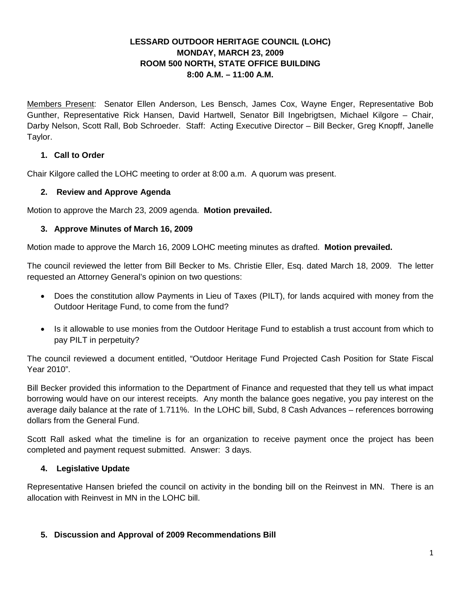# **LESSARD OUTDOOR HERITAGE COUNCIL (LOHC) MONDAY, MARCH 23, 2009 ROOM 500 NORTH, STATE OFFICE BUILDING 8:00 A.M. – 11:00 A.M.**

Members Present: Senator Ellen Anderson, Les Bensch, James Cox, Wayne Enger, Representative Bob Gunther, Representative Rick Hansen, David Hartwell, Senator Bill Ingebrigtsen, Michael Kilgore – Chair, Darby Nelson, Scott Rall, Bob Schroeder. Staff: Acting Executive Director – Bill Becker, Greg Knopff, Janelle Taylor.

# **1. Call to Order**

Chair Kilgore called the LOHC meeting to order at 8:00 a.m. A quorum was present.

# **2. Review and Approve Agenda**

Motion to approve the March 23, 2009 agenda. **Motion prevailed.**

# **3. Approve Minutes of March 16, 2009**

Motion made to approve the March 16, 2009 LOHC meeting minutes as drafted. **Motion prevailed.**

The council reviewed the letter from Bill Becker to Ms. Christie Eller, Esq. dated March 18, 2009. The letter requested an Attorney General's opinion on two questions:

- Does the constitution allow Payments in Lieu of Taxes (PILT), for lands acquired with money from the Outdoor Heritage Fund, to come from the fund?
- Is it allowable to use monies from the Outdoor Heritage Fund to establish a trust account from which to pay PILT in perpetuity?

The council reviewed a document entitled, "Outdoor Heritage Fund Projected Cash Position for State Fiscal Year 2010".

Bill Becker provided this information to the Department of Finance and requested that they tell us what impact borrowing would have on our interest receipts. Any month the balance goes negative, you pay interest on the average daily balance at the rate of 1.711%. In the LOHC bill, Subd, 8 Cash Advances – references borrowing dollars from the General Fund.

Scott Rall asked what the timeline is for an organization to receive payment once the project has been completed and payment request submitted. Answer: 3 days.

# **4. Legislative Update**

Representative Hansen briefed the council on activity in the bonding bill on the Reinvest in MN. There is an allocation with Reinvest in MN in the LOHC bill.

# **5. Discussion and Approval of 2009 Recommendations Bill**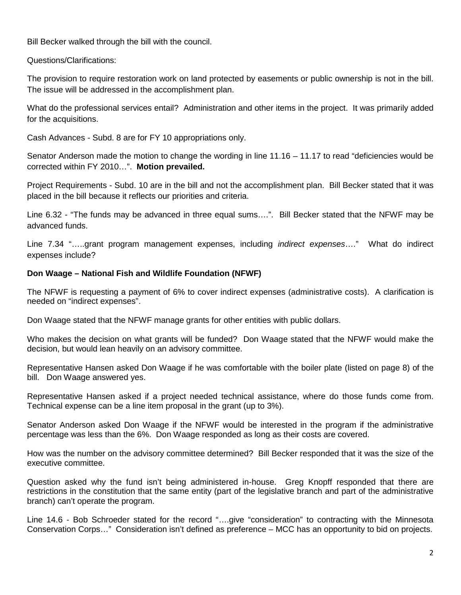Bill Becker walked through the bill with the council.

Questions/Clarifications:

The provision to require restoration work on land protected by easements or public ownership is not in the bill. The issue will be addressed in the accomplishment plan.

What do the professional services entail? Administration and other items in the project. It was primarily added for the acquisitions.

Cash Advances - Subd. 8 are for FY 10 appropriations only.

Senator Anderson made the motion to change the wording in line 11.16 – 11.17 to read "deficiencies would be corrected within FY 2010…". **Motion prevailed.**

Project Requirements - Subd. 10 are in the bill and not the accomplishment plan. Bill Becker stated that it was placed in the bill because it reflects our priorities and criteria.

Line 6.32 - "The funds may be advanced in three equal sums….". Bill Becker stated that the NFWF may be advanced funds.

Line 7.34 "…..grant program management expenses, including *indirect expenses*…." What do indirect expenses include?

### **Don Waage – National Fish and Wildlife Foundation (NFWF)**

The NFWF is requesting a payment of 6% to cover indirect expenses (administrative costs). A clarification is needed on "indirect expenses".

Don Waage stated that the NFWF manage grants for other entities with public dollars.

Who makes the decision on what grants will be funded? Don Waage stated that the NFWF would make the decision, but would lean heavily on an advisory committee.

Representative Hansen asked Don Waage if he was comfortable with the boiler plate (listed on page 8) of the bill. Don Waage answered yes.

Representative Hansen asked if a project needed technical assistance, where do those funds come from. Technical expense can be a line item proposal in the grant (up to 3%).

Senator Anderson asked Don Waage if the NFWF would be interested in the program if the administrative percentage was less than the 6%. Don Waage responded as long as their costs are covered.

How was the number on the advisory committee determined? Bill Becker responded that it was the size of the executive committee.

Question asked why the fund isn't being administered in-house. Greg Knopff responded that there are restrictions in the constitution that the same entity (part of the legislative branch and part of the administrative branch) can't operate the program.

Line 14.6 - Bob Schroeder stated for the record "….give "consideration" to contracting with the Minnesota Conservation Corps…" Consideration isn't defined as preference – MCC has an opportunity to bid on projects.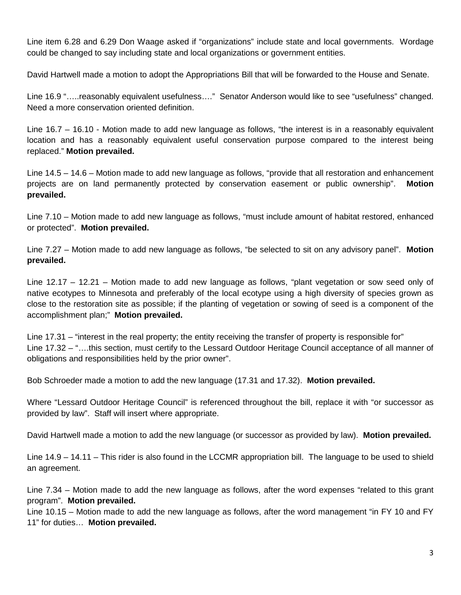Line item 6.28 and 6.29 Don Waage asked if "organizations" include state and local governments. Wordage could be changed to say including state and local organizations or government entities.

David Hartwell made a motion to adopt the Appropriations Bill that will be forwarded to the House and Senate.

Line 16.9 ".....reasonably equivalent usefulness...." Senator Anderson would like to see "usefulness" changed. Need a more conservation oriented definition.

Line 16.7 – 16.10 - Motion made to add new language as follows, "the interest is in a reasonably equivalent location and has a reasonably equivalent useful conservation purpose compared to the interest being replaced." **Motion prevailed.**

Line 14.5 – 14.6 – Motion made to add new language as follows, "provide that all restoration and enhancement projects are on land permanently protected by conservation easement or public ownership". **Motion prevailed.**

Line 7.10 – Motion made to add new language as follows, "must include amount of habitat restored, enhanced or protected". **Motion prevailed.**

Line 7.27 – Motion made to add new language as follows, "be selected to sit on any advisory panel". **Motion prevailed.**

Line 12.17 – 12.21 – Motion made to add new language as follows, "plant vegetation or sow seed only of native ecotypes to Minnesota and preferably of the local ecotype using a high diversity of species grown as close to the restoration site as possible; if the planting of vegetation or sowing of seed is a component of the accomplishment plan;" **Motion prevailed.**

Line 17.31 – "interest in the real property; the entity receiving the transfer of property is responsible for" Line 17.32 – "….this section, must certify to the Lessard Outdoor Heritage Council acceptance of all manner of obligations and responsibilities held by the prior owner".

Bob Schroeder made a motion to add the new language (17.31 and 17.32). **Motion prevailed.**

Where "Lessard Outdoor Heritage Council" is referenced throughout the bill, replace it with "or successor as provided by law". Staff will insert where appropriate.

David Hartwell made a motion to add the new language (or successor as provided by law). **Motion prevailed.**

Line 14.9 – 14.11 – This rider is also found in the LCCMR appropriation bill. The language to be used to shield an agreement.

Line 7.34 – Motion made to add the new language as follows, after the word expenses "related to this grant program". **Motion prevailed.**

Line 10.15 – Motion made to add the new language as follows, after the word management "in FY 10 and FY 11" for duties… **Motion prevailed.**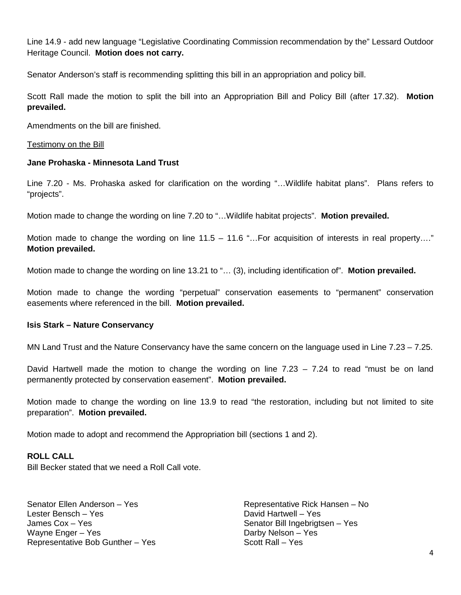Line 14.9 - add new language "Legislative Coordinating Commission recommendation by the" Lessard Outdoor Heritage Council. **Motion does not carry.**

Senator Anderson's staff is recommending splitting this bill in an appropriation and policy bill.

Scott Rall made the motion to split the bill into an Appropriation Bill and Policy Bill (after 17.32). **Motion prevailed.**

Amendments on the bill are finished.

Testimony on the Bill

#### **Jane Prohaska - Minnesota Land Trust**

Line 7.20 - Ms. Prohaska asked for clarification on the wording "…Wildlife habitat plans". Plans refers to "projects".

Motion made to change the wording on line 7.20 to "…Wildlife habitat projects". **Motion prevailed.**

Motion made to change the wording on line 11.5 – 11.6 "...For acquisition of interests in real property...." **Motion prevailed.**

Motion made to change the wording on line 13.21 to "… (3), including identification of". **Motion prevailed.**

Motion made to change the wording "perpetual" conservation easements to "permanent" conservation easements where referenced in the bill. **Motion prevailed.**

#### **Isis Stark – Nature Conservancy**

MN Land Trust and the Nature Conservancy have the same concern on the language used in Line 7.23 – 7.25.

David Hartwell made the motion to change the wording on line 7.23 – 7.24 to read "must be on land permanently protected by conservation easement". **Motion prevailed.**

Motion made to change the wording on line 13.9 to read "the restoration, including but not limited to site preparation". **Motion prevailed.**

Motion made to adopt and recommend the Appropriation bill (sections 1 and 2).

#### **ROLL CALL**

Bill Becker stated that we need a Roll Call vote.

Senator Ellen Anderson – Yes Lester Bensch – Yes James Cox – Yes Wayne Enger – Yes Representative Bob Gunther – Yes

Representative Rick Hansen – No David Hartwell – Yes Senator Bill Ingebrigtsen – Yes Darby Nelson – Yes Scott Rall – Yes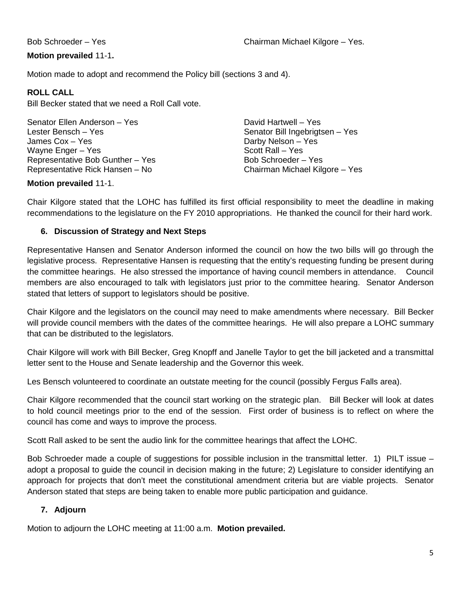# **Motion prevailed** 11-1**.**

Motion made to adopt and recommend the Policy bill (sections 3 and 4).

# **ROLL CALL**

Bill Becker stated that we need a Roll Call vote.

Senator Ellen Anderson – Yes Lester Bensch – Yes James Cox – Yes Wayne Enger – Yes Representative Bob Gunther – Yes Representative Rick Hansen – No

David Hartwell – Yes Senator Bill Ingebrigtsen – Yes Darby Nelson – Yes Scott Rall – Yes Bob Schroeder – Yes Chairman Michael Kilgore – Yes

# **Motion prevailed** 11-1.

Chair Kilgore stated that the LOHC has fulfilled its first official responsibility to meet the deadline in making recommendations to the legislature on the FY 2010 appropriations. He thanked the council for their hard work.

# **6. Discussion of Strategy and Next Steps**

Representative Hansen and Senator Anderson informed the council on how the two bills will go through the legislative process. Representative Hansen is requesting that the entity's requesting funding be present during the committee hearings. He also stressed the importance of having council members in attendance. Council members are also encouraged to talk with legislators just prior to the committee hearing. Senator Anderson stated that letters of support to legislators should be positive.

Chair Kilgore and the legislators on the council may need to make amendments where necessary. Bill Becker will provide council members with the dates of the committee hearings. He will also prepare a LOHC summary that can be distributed to the legislators.

Chair Kilgore will work with Bill Becker, Greg Knopff and Janelle Taylor to get the bill jacketed and a transmittal letter sent to the House and Senate leadership and the Governor this week.

Les Bensch volunteered to coordinate an outstate meeting for the council (possibly Fergus Falls area).

Chair Kilgore recommended that the council start working on the strategic plan. Bill Becker will look at dates to hold council meetings prior to the end of the session. First order of business is to reflect on where the council has come and ways to improve the process.

Scott Rall asked to be sent the audio link for the committee hearings that affect the LOHC.

Bob Schroeder made a couple of suggestions for possible inclusion in the transmittal letter. 1) PILT issue – adopt a proposal to guide the council in decision making in the future; 2) Legislature to consider identifying an approach for projects that don't meet the constitutional amendment criteria but are viable projects. Senator Anderson stated that steps are being taken to enable more public participation and guidance.

# **7. Adjourn**

Motion to adjourn the LOHC meeting at 11:00 a.m. **Motion prevailed.**